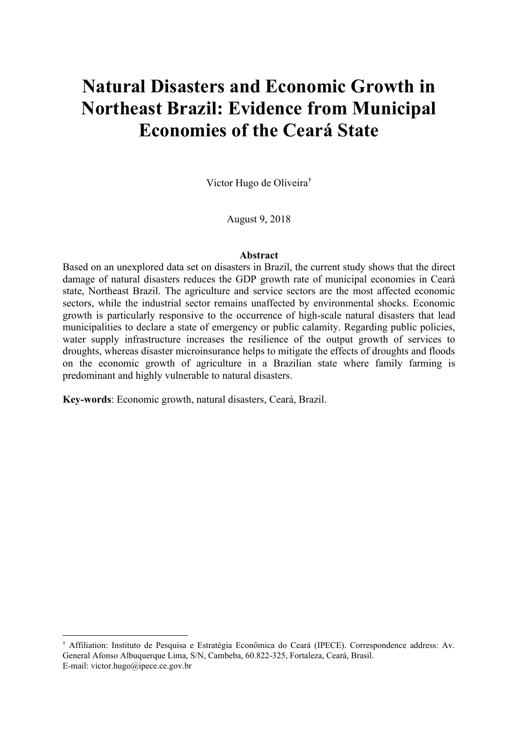# **Natural Disasters and Economic Growth in Northeast Brazil: Evidence from Municipal Economies of the Ceará State**

Victor Hugo de Oliveira

August 9, 2018

#### **Abstract**

Based on an unexplored data set on disasters in Brazil, the current study shows that the direct damage of natural disasters reduces the GDP growth rate of municipal economies in Ceará state, Northeast Brazil. The agriculture and service sectors are the most affected economic sectors, while the industrial sector remains unaffected by environmental shocks. Economic growth is particularly responsive to the occurrence of high-scale natural disasters that lead municipalities to declare a state of emergency or public calamity. Regarding public policies, water supply infrastructure increases the resilience of the output growth of services to droughts, whereas disaster microinsurance helps to mitigate the effects of droughts and floods on the economic growth of agriculture in a Brazilian state where family farming is predominant and highly vulnerable to natural disasters.

**Key-words**: Economic growth, natural disasters, Ceará, Brazil.

Affiliation: Instituto de Pesquisa e Estratégia Econômica do Ceará (IPECE). Correspondence address: Av. General Afonso Albuquerque Lima, S/N, Cambeba, 60.822-325, Fortaleza, Ceará, Brasil. E-mail: victor.hugo@ipece.ce.gov.br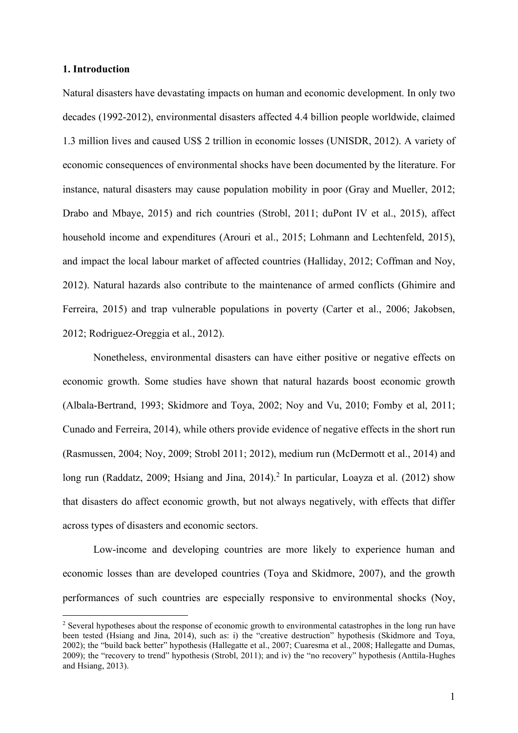#### **1. Introduction**

Natural disasters have devastating impacts on human and economic development. In only two decades (1992-2012), environmental disasters affected 4.4 billion people worldwide, claimed 1.3 million lives and caused US\$ 2 trillion in economic losses (UNISDR, 2012). A variety of economic consequences of environmental shocks have been documented by the literature. For instance, natural disasters may cause population mobility in poor (Gray and Mueller, 2012; Drabo and Mbaye, 2015) and rich countries (Strobl, 2011; duPont IV et al., 2015), affect household income and expenditures (Arouri et al., 2015; Lohmann and Lechtenfeld, 2015), and impact the local labour market of affected countries (Halliday, 2012; Coffman and Noy, 2012). Natural hazards also contribute to the maintenance of armed conflicts (Ghimire and Ferreira, 2015) and trap vulnerable populations in poverty (Carter et al., 2006; Jakobsen, 2012; Rodriguez-Oreggia et al., 2012).

Nonetheless, environmental disasters can have either positive or negative effects on economic growth. Some studies have shown that natural hazards boost economic growth (Albala-Bertrand, 1993; Skidmore and Toya, 2002; Noy and Vu, 2010; Fomby et al, 2011; Cunado and Ferreira, 2014), while others provide evidence of negative effects in the short run (Rasmussen, 2004; Noy, 2009; Strobl 2011; 2012), medium run (McDermott et al., 2014) and long run (Raddatz, 2009; Hsiang and Jina, 2014).<sup>2</sup> In particular, Loayza et al. (2012) show that disasters do affect economic growth, but not always negatively, with effects that differ across types of disasters and economic sectors.

Low-income and developing countries are more likely to experience human and economic losses than are developed countries (Toya and Skidmore, 2007), and the growth performances of such countries are especially responsive to environmental shocks (Noy,

<sup>2</sup> Several hypotheses about the response of economic growth to environmental catastrophes in the long run have been tested (Hsiang and Jina, 2014), such as: i) the "creative destruction" hypothesis (Skidmore and Toya, 2002); the "build back better" hypothesis (Hallegatte et al., 2007; Cuaresma et al., 2008; Hallegatte and Dumas, 2009); the "recovery to trend" hypothesis (Strobl, 2011); and iv) the "no recovery" hypothesis (Anttila-Hughes and Hsiang, 2013).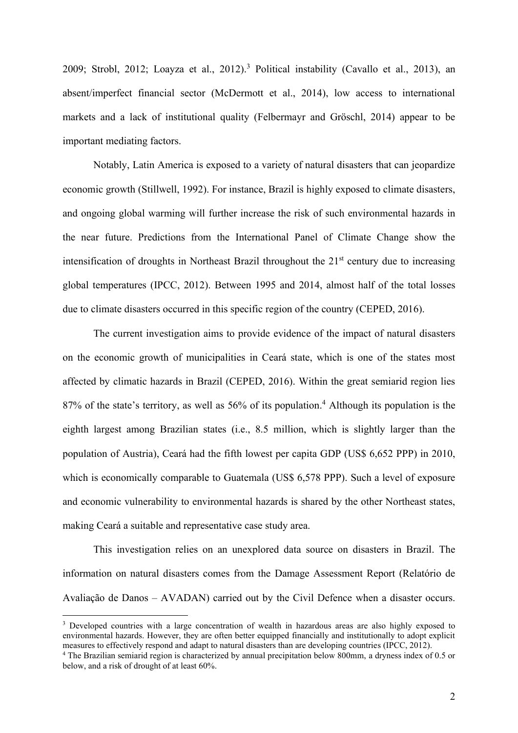2009; Strobl, 2012; Loayza et al., 2012).<sup>3</sup> Political instability (Cavallo et al., 2013), an absent/imperfect financial sector (McDermott et al., 2014), low access to international markets and a lack of institutional quality (Felbermayr and Gröschl, 2014) appear to be important mediating factors.

Notably, Latin America is exposed to a variety of natural disasters that can jeopardize economic growth (Stillwell, 1992). For instance, Brazil is highly exposed to climate disasters, and ongoing global warming will further increase the risk of such environmental hazards in the near future. Predictions from the International Panel of Climate Change show the intensification of droughts in Northeast Brazil throughout the  $21<sup>st</sup>$  century due to increasing global temperatures (IPCC, 2012). Between 1995 and 2014, almost half of the total losses due to climate disasters occurred in this specific region of the country (CEPED, 2016).

The current investigation aims to provide evidence of the impact of natural disasters on the economic growth of municipalities in Ceará state, which is one of the states most affected by climatic hazards in Brazil (CEPED, 2016). Within the great semiarid region lies 87% of the state's territory, as well as 56% of its population.<sup>4</sup> Although its population is the eighth largest among Brazilian states (i.e., 8.5 million, which is slightly larger than the population of Austria), Ceará had the fifth lowest per capita GDP (US\$ 6,652 PPP) in 2010, which is economically comparable to Guatemala (US\$ 6,578 PPP). Such a level of exposure and economic vulnerability to environmental hazards is shared by the other Northeast states, making Ceará a suitable and representative case study area.

This investigation relies on an unexplored data source on disasters in Brazil. The information on natural disasters comes from the Damage Assessment Report (Relatório de Avaliação de Danos - AVADAN) carried out by the Civil Defence when a disaster occurs.

<sup>&</sup>lt;sup>3</sup> Developed countries with a large concentration of wealth in hazardous areas are also highly exposed to environmental hazards. However, they are often better equipped financially and institutionally to adopt explicit measures to effectively respond and adapt to natural disasters than are developing countries (IPCC, 2012).

<sup>4</sup> The Brazilian semiarid region is characterized by annual precipitation below 800mm, a dryness index of 0.5 or below, and a risk of drought of at least 60%.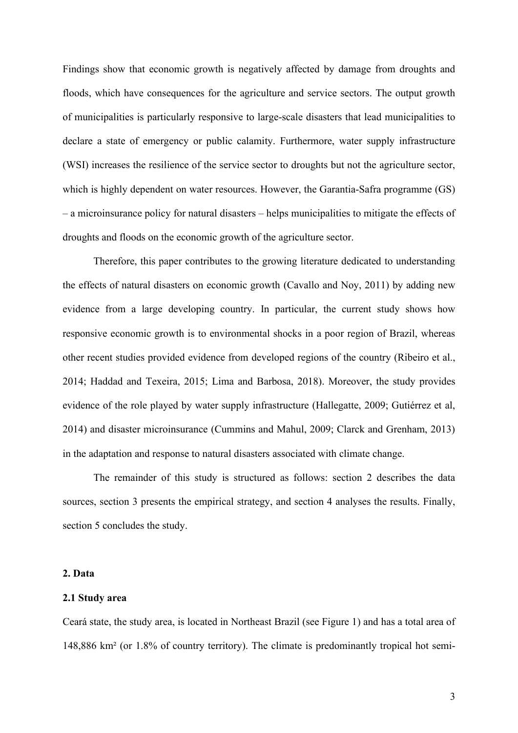Findings show that economic growth is negatively affected by damage from droughts and floods, which have consequences for the agriculture and service sectors. The output growth of municipalities is particularly responsive to large-scale disasters that lead municipalities to declare a state of emergency or public calamity. Furthermore, water supply infrastructure (WSI) increases the resilience of the service sector to droughts but not the agriculture sector, which is highly dependent on water resources. However, the Garantia-Safra programme (GS)  $-$  a microinsurance policy for natural disasters  $-$  helps municipalities to mitigate the effects of droughts and floods on the economic growth of the agriculture sector.

Therefore, this paper contributes to the growing literature dedicated to understanding the effects of natural disasters on economic growth (Cavallo and Noy, 2011) by adding new evidence from a large developing country. In particular, the current study shows how responsive economic growth is to environmental shocks in a poor region of Brazil, whereas other recent studies provided evidence from developed regions of the country (Ribeiro et al., 2014; Haddad and Texeira, 2015; Lima and Barbosa, 2018). Moreover, the study provides evidence of the role played by water supply infrastructure (Hallegatte, 2009; Gutiérrez et al, 2014) and disaster microinsurance (Cummins and Mahul, 2009; Clarck and Grenham, 2013) in the adaptation and response to natural disasters associated with climate change.

The remainder of this study is structured as follows: section 2 describes the data sources, section 3 presents the empirical strategy, and section 4 analyses the results. Finally, section 5 concludes the study.

#### **2. Data**

#### **2.1 Study area**

Ceará state, the study area, is located in Northeast Brazil (see Figure 1) and has a total area of 148,886 km² (or 1.8% of country territory). The climate is predominantly tropical hot semi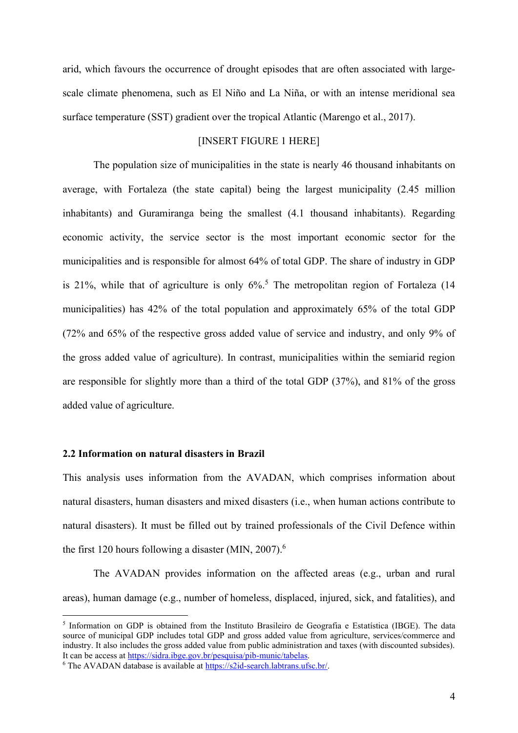arid, which favours the occurrence of drought episodes that are often associated with largescale climate phenomena, such as El Niño and La Niña, or with an intense meridional sea surface temperature (SST) gradient over the tropical Atlantic (Marengo et al., 2017).

# [INSERT FIGURE 1 HERE]

The population size of municipalities in the state is nearly 46 thousand inhabitants on average, with Fortaleza (the state capital) being the largest municipality (2.45 million inhabitants) and Guramiranga being the smallest (4.1 thousand inhabitants). Regarding economic activity, the service sector is the most important economic sector for the municipalities and is responsible for almost 64% of total GDP. The share of industry in GDP is 21%, while that of agriculture is only  $6\%$ .<sup>5</sup> The metropolitan region of Fortaleza (14 municipalities) has 42% of the total population and approximately 65% of the total GDP (72% and 65% of the respective gross added value of service and industry, and only 9% of the gross added value of agriculture). In contrast, municipalities within the semiarid region are responsible for slightly more than a third of the total GDP (37%), and 81% of the gross added value of agriculture.

## **2.2 Information on natural disasters in Brazil**

This analysis uses information from the AVADAN, which comprises information about natural disasters, human disasters and mixed disasters (i.e., when human actions contribute to natural disasters). It must be filled out by trained professionals of the Civil Defence within the first 120 hours following a disaster (MIN,  $2007$ ).<sup>6</sup>

The AVADAN provides information on the affected areas (e.g., urban and rural areas), human damage (e.g., number of homeless, displaced, injured, sick, and fatalities), and

<sup>5</sup> Information on GDP is obtained from the Instituto Brasileiro de Geografia e Estatística (IBGE). The data source of municipal GDP includes total GDP and gross added value from agriculture, services/commerce and industry. It also includes the gross added value from public administration and taxes (with discounted subsides). It can be access a[t https://sidra.ibge.gov.br/pesquisa/pib-munic/tabelas.](https://sidra.ibge.gov.br/pesquisa/pib-munic/tabelas)

<sup>6</sup> The AVADAN database is available at [https://s2id-search.labtrans.ufsc.br/.](https://s2id-search.labtrans.ufsc.br/)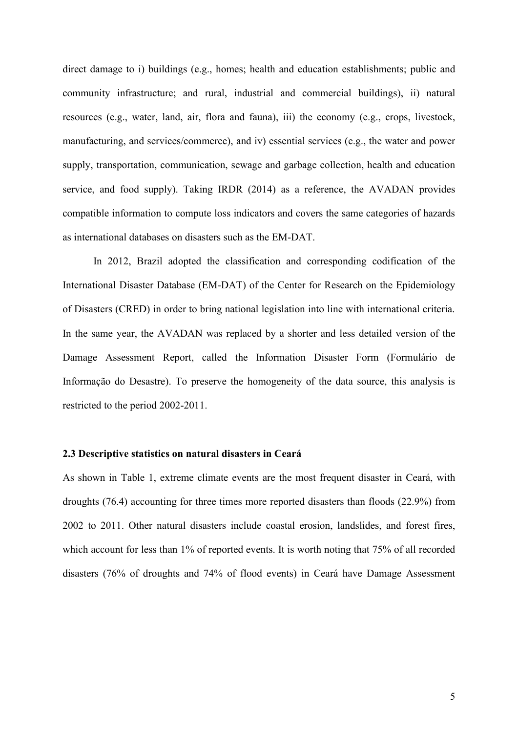direct damage to i) buildings (e.g., homes; health and education establishments; public and community infrastructure; and rural, industrial and commercial buildings), ii) natural resources (e.g., water, land, air, flora and fauna), iii) the economy (e.g., crops, livestock, manufacturing, and services/commerce), and iv) essential services (e.g., the water and power supply, transportation, communication, sewage and garbage collection, health and education service, and food supply). Taking IRDR (2014) as a reference, the AVADAN provides compatible information to compute loss indicators and covers the same categories of hazards as international databases on disasters such as the EM-DAT.

In 2012, Brazil adopted the classification and corresponding codification of the International Disaster Database (EM-DAT) of the Center for Research on the Epidemiology of Disasters (CRED) in order to bring national legislation into line with international criteria. In the same year, the AVADAN was replaced by a shorter and less detailed version of the Damage Assessment Report, called the Information Disaster Form (Formulário de Informação do Desastre). To preserve the homogeneity of the data source, this analysis is restricted to the period 2002-2011.

#### **2.3 Descriptive statistics on natural disasters in Ceará**

As shown in Table 1, extreme climate events are the most frequent disaster in Ceará, with droughts (76.4) accounting for three times more reported disasters than floods (22.9%) from 2002 to 2011. Other natural disasters include coastal erosion, landslides, and forest fires, which account for less than 1% of reported events. It is worth noting that 75% of all recorded disasters (76% of droughts and 74% of flood events) in Ceará have Damage Assessment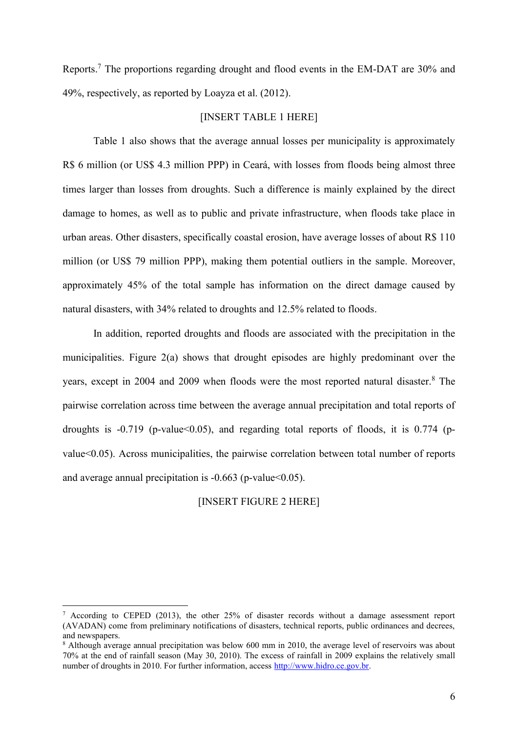Reports.<sup>7</sup> The proportions regarding drought and flood events in the EM-DAT are 30% and 49%, respectively, as reported by Loayza et al. (2012).

#### [INSERT TABLE 1 HERE]

Table 1 also shows that the average annual losses per municipality is approximately R\$ 6 million (or US\$ 4.3 million PPP) in Ceará, with losses from floods being almost three times larger than losses from droughts. Such a difference is mainly explained by the direct damage to homes, as well as to public and private infrastructure, when floods take place in urban areas. Other disasters, specifically coastal erosion, have average losses of about R\$ 110 million (or US\$ 79 million PPP), making them potential outliers in the sample. Moreover, approximately 45% of the total sample has information on the direct damage caused by natural disasters, with 34% related to droughts and 12.5% related to floods.

In addition, reported droughts and floods are associated with the precipitation in the municipalities. Figure 2(a) shows that drought episodes are highly predominant over the years, except in 2004 and 2009 when floods were the most reported natural disaster. <sup>8</sup> The pairwise correlation across time between the average annual precipitation and total reports of droughts is  $-0.719$  (p-value  $0.05$ ), and regarding total reports of floods, it is 0.774 (pvalue<0.05). Across municipalities, the pairwise correlation between total number of reports and average annual precipitation is  $-0.663$  (p-value  $\leq 0.05$ ).

[INSERT FIGURE 2 HERE]

 $\frac{7}{1}$  According to CEPED (2013), the other 25% of disaster records without a damage assessment report (AVADAN) come from preliminary notifications of disasters, technical reports, public ordinances and decrees, and newspapers.

<sup>8</sup> Although average annual precipitation was below 600 mm in 2010, the average level of reservoirs was about 70% at the end of rainfall season (May 30, 2010). The excess of rainfall in 2009 explains the relatively small number of droughts in 2010. For further information, access [http://www.hidro.ce.gov.br.](http://www.hidro.ce.gov.br/)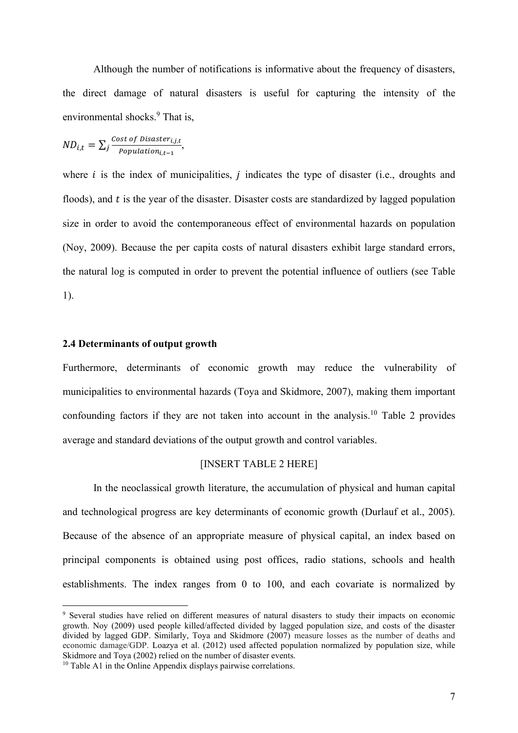Although the number of notifications is informative about the frequency of disasters, the direct damage of natural disasters is useful for capturing the intensity of the environmental shocks. <sup>9</sup> That is,

$$
ND_{i,t} = \sum_{j} \frac{\text{Cost of \textit{Dissater}_{i,j,t}}}{\textit{Population}_{i,t-1}},
$$

where  $i$  is the index of municipalities,  $j$  indicates the type of disaster (i.e., droughts and floods), and  $t$  is the year of the disaster. Disaster costs are standardized by lagged population size in order to avoid the contemporaneous effect of environmental hazards on population (Noy, 2009). Because the per capita costs of natural disasters exhibit large standard errors, the natural log is computed in order to prevent the potential influence of outliers (see Table 1).

#### **2.4 Determinants of output growth**

Furthermore, determinants of economic growth may reduce the vulnerability of municipalities to environmental hazards (Toya and Skidmore, 2007), making them important confounding factors if they are not taken into account in the analysis.<sup>10</sup> Table 2 provides average and standard deviations of the output growth and control variables.

# [INSERT TABLE 2 HERE]

In the neoclassical growth literature, the accumulation of physical and human capital and technological progress are key determinants of economic growth (Durlauf et al., 2005). Because of the absence of an appropriate measure of physical capital, an index based on principal components is obtained using post offices, radio stations, schools and health establishments. The index ranges from 0 to 100, and each covariate is normalized by

<sup>&</sup>lt;sup>9</sup> Several studies have relied on different measures of natural disasters to study their impacts on economic growth. Noy (2009) used people killed/affected divided by lagged population size, and costs of the disaster divided by lagged GDP. Similarly, Toya and Skidmore (2007) measure losses as the number of deaths and economic damage/GDP. Loazya et al. (2012) used affected population normalized by population size, while Skidmore and Toya (2002) relied on the number of disaster events.

<sup>10</sup> Table A1 in the Online Appendix displays pairwise correlations.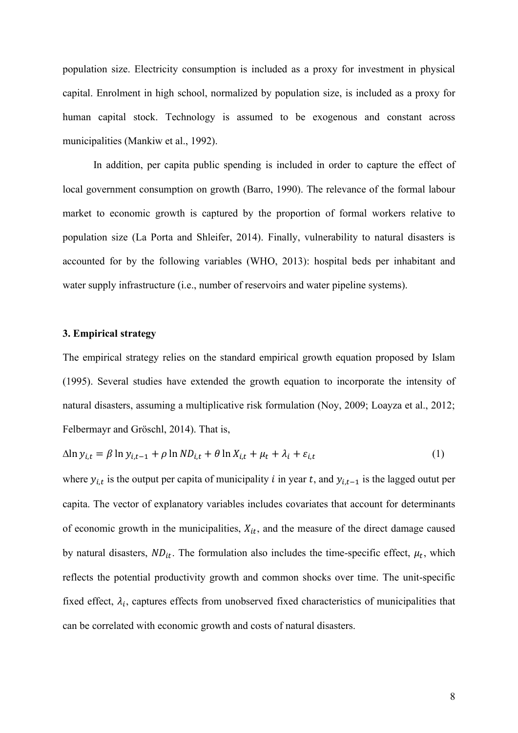population size. Electricity consumption is included as a proxy for investment in physical capital. Enrolment in high school, normalized by population size, is included as a proxy for human capital stock. Technology is assumed to be exogenous and constant across municipalities (Mankiw et al., 1992).

In addition, per capita public spending is included in order to capture the effect of local government consumption on growth (Barro, 1990). The relevance of the formal labour market to economic growth is captured by the proportion of formal workers relative to population size (La Porta and Shleifer, 2014). Finally, vulnerability to natural disasters is accounted for by the following variables (WHO, 2013): hospital beds per inhabitant and water supply infrastructure (i.e., number of reservoirs and water pipeline systems).

#### **3. Empirical strategy**

The empirical strategy relies on the standard empirical growth equation proposed by Islam (1995). Several studies have extended the growth equation to incorporate the intensity of natural disasters, assuming a multiplicative risk formulation (Noy, 2009; Loayza et al., 2012; Felbermayr and Gröschl, 2014). That is,

$$
\Delta \ln y_{i,t} = \beta \ln y_{i,t-1} + \rho \ln ND_{i,t} + \theta \ln X_{i,t} + \mu_t + \lambda_i + \varepsilon_{i,t} \tag{1}
$$

where  $y_{i,t}$  is the output per capita of municipality *i* in year *t*, and  $y_{i,t-1}$  is the lagged outut per capita. The vector of explanatory variables includes covariates that account for determinants of economic growth in the municipalities,  $X_{it}$ , and the measure of the direct damage caused by natural disasters,  $ND_{it}$ . The formulation also includes the time-specific effect,  $\mu_t$ , which reflects the potential productivity growth and common shocks over time. The unit-specific fixed effect,  $\lambda_i$ , captures effects from unobserved fixed characteristics of municipalities that can be correlated with economic growth and costs of natural disasters.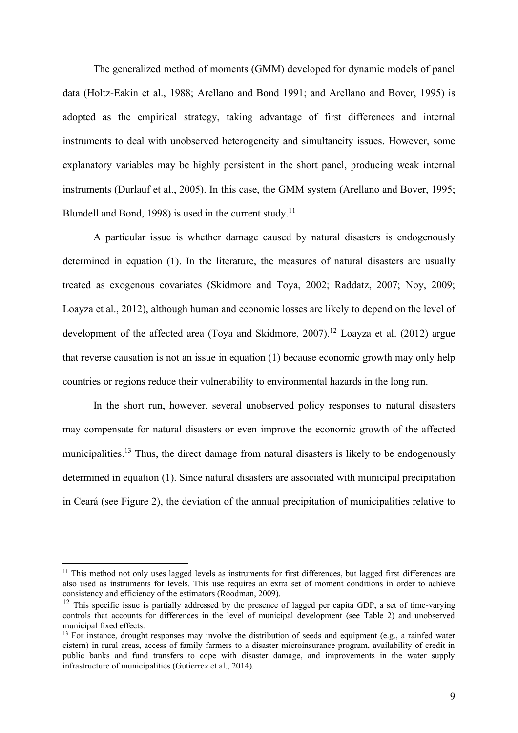The generalized method of moments (GMM) developed for dynamic models of panel data (Holtz-Eakin et al., 1988; Arellano and Bond 1991; and Arellano and Bover, 1995) is adopted as the empirical strategy, taking advantage of first differences and internal instruments to deal with unobserved heterogeneity and simultaneity issues. However, some explanatory variables may be highly persistent in the short panel, producing weak internal instruments (Durlauf et al., 2005). In this case, the GMM system (Arellano and Bover, 1995; Blundell and Bond, 1998) is used in the current study.<sup>11</sup>

A particular issue is whether damage caused by natural disasters is endogenously determined in equation (1). In the literature, the measures of natural disasters are usually treated as exogenous covariates (Skidmore and Toya, 2002; Raddatz, 2007; Noy, 2009; Loayza et al., 2012), although human and economic losses are likely to depend on the level of development of the affected area (Toya and Skidmore, 2007).<sup>12</sup> Loayza et al. (2012) argue that reverse causation is not an issue in equation (1) because economic growth may only help countries or regions reduce their vulnerability to environmental hazards in the long run.

In the short run, however, several unobserved policy responses to natural disasters may compensate for natural disasters or even improve the economic growth of the affected municipalities.<sup>13</sup> Thus, the direct damage from natural disasters is likely to be endogenously determined in equation (1). Since natural disasters are associated with municipal precipitation in Ceará (see Figure 2), the deviation of the annual precipitation of municipalities relative to

<sup>&</sup>lt;sup>11</sup> This method not only uses lagged levels as instruments for first differences, but lagged first differences are also used as instruments for levels. This use requires an extra set of moment conditions in order to achieve consistency and efficiency of the estimators (Roodman, 2009).

 $12$  This specific issue is partially addressed by the presence of lagged per capita GDP, a set of time-varying controls that accounts for differences in the level of municipal development (see Table 2) and unobserved municipal fixed effects.

<sup>&</sup>lt;sup>13</sup> For instance, drought responses may involve the distribution of seeds and equipment (e.g., a rainfed water cistern) in rural areas, access of family farmers to a disaster microinsurance program, availability of credit in public banks and fund transfers to cope with disaster damage, and improvements in the water supply infrastructure of municipalities (Gutierrez et al., 2014).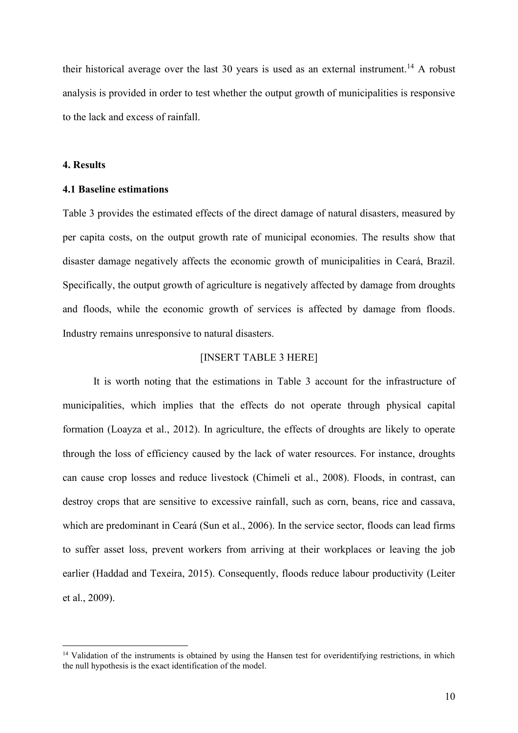their historical average over the last 30 years is used as an external instrument.<sup>14</sup> A robust analysis is provided in order to test whether the output growth of municipalities is responsive to the lack and excess of rainfall.

#### **4. Results**

# **4.1 Baseline estimations**

Table 3 provides the estimated effects of the direct damage of natural disasters, measured by per capita costs, on the output growth rate of municipal economies. The results show that disaster damage negatively affects the economic growth of municipalities in Ceará, Brazil. Specifically, the output growth of agriculture is negatively affected by damage from droughts and floods, while the economic growth of services is affected by damage from floods. Industry remains unresponsive to natural disasters.

# [INSERT TABLE 3 HERE]

It is worth noting that the estimations in Table 3 account for the infrastructure of municipalities, which implies that the effects do not operate through physical capital formation (Loayza et al., 2012). In agriculture, the effects of droughts are likely to operate through the loss of efficiency caused by the lack of water resources. For instance, droughts can cause crop losses and reduce livestock (Chimeli et al., 2008). Floods, in contrast, can destroy crops that are sensitive to excessive rainfall, such as corn, beans, rice and cassava, which are predominant in Ceará (Sun et al., 2006). In the service sector, floods can lead firms to suffer asset loss, prevent workers from arriving at their workplaces or leaving the job earlier (Haddad and Texeira, 2015). Consequently, floods reduce labour productivity (Leiter et al., 2009).

<sup>&</sup>lt;sup>14</sup> Validation of the instruments is obtained by using the Hansen test for overidentifying restrictions, in which the null hypothesis is the exact identification of the model.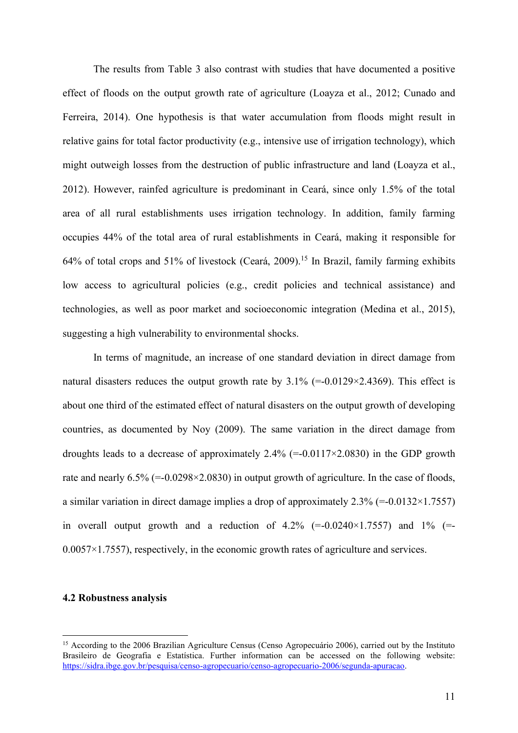The results from Table 3 also contrast with studies that have documented a positive effect of floods on the output growth rate of agriculture (Loayza et al., 2012; Cunado and Ferreira, 2014). One hypothesis is that water accumulation from floods might result in relative gains for total factor productivity (e.g., intensive use of irrigation technology), which might outweigh losses from the destruction of public infrastructure and land (Loayza et al., 2012). However, rainfed agriculture is predominant in Ceará, since only 1.5% of the total area of all rural establishments uses irrigation technology. In addition, family farming occupies 44% of the total area of rural establishments in Ceará, making it responsible for 64% of total crops and 51% of livestock (Ceará, 2009).<sup>15</sup> In Brazil, family farming exhibits low access to agricultural policies (e.g., credit policies and technical assistance) and technologies, as well as poor market and socioeconomic integration (Medina et al., 2015), suggesting a high vulnerability to environmental shocks.

In terms of magnitude, an increase of one standard deviation in direct damage from natural disasters reduces the output growth rate by  $3.1\%$  (=-0.0129×2.4369). This effect is about one third of the estimated effect of natural disasters on the output growth of developing countries, as documented by Noy (2009). The same variation in the direct damage from droughts leads to a decrease of approximately 2.4% (=-0.0117 $\times$ 2.0830) in the GDP growth rate and nearly  $6.5\%$  (=-0.0298×2.0830) in output growth of agriculture. In the case of floods, a similar variation in direct damage implies a drop of approximately  $2.3\%$  (=-0.0132×1.7557) in overall output growth and a reduction of  $4.2\%$  (=-0.0240×1.7557) and 1% (=- $0.0057 \times 1.7557$ ), respectively, in the economic growth rates of agriculture and services.

#### **4.2 Robustness analysis**

<sup>15</sup> According to the 2006 Brazilian Agriculture Census (Censo Agropecuário 2006), carried out by the Instituto Brasileiro de Geografia e Estatística. Further information can be accessed on the following website: [https://sidra.ibge.gov.br/pesquisa/censo-agropecuario/censo-agropecuario-2006/segunda-apuracao.](https://sidra.ibge.gov.br/pesquisa/censo-agropecuario/censo-agropecuario-2006/segunda-apuracao)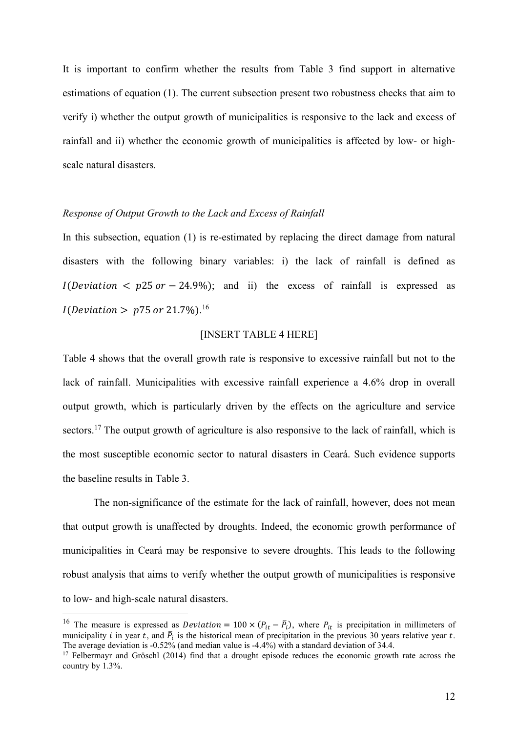It is important to confirm whether the results from Table 3 find support in alternative estimations of equation (1). The current subsection present two robustness checks that aim to verify i) whether the output growth of municipalities is responsive to the lack and excess of rainfall and ii) whether the economic growth of municipalities is affected by low- or highscale natural disasters.

#### *Response of Output Growth to the Lack and Excess of Rainfall*

In this subsection, equation (1) is re-estimated by replacing the direct damage from natural disasters with the following binary variables: i) the lack of rainfall is defined as  $I(Deviation < p25 or -24.9\%)$ ; and ii) the excess of rainfall is expressed as *I*(Deviation >  $p75$  or 21.7%).<sup>16</sup>

#### [INSERT TABLE 4 HERE]

Table 4 shows that the overall growth rate is responsive to excessive rainfall but not to the lack of rainfall. Municipalities with excessive rainfall experience a 4.6% drop in overall output growth, which is particularly driven by the effects on the agriculture and service sectors.<sup>17</sup> The output growth of agriculture is also responsive to the lack of rainfall, which is the most susceptible economic sector to natural disasters in Ceará. Such evidence supports the baseline results in Table 3.

The non-significance of the estimate for the lack of rainfall, however, does not mean that output growth is unaffected by droughts. Indeed, the economic growth performance of municipalities in Ceará may be responsive to severe droughts. This leads to the following robust analysis that aims to verify whether the output growth of municipalities is responsive to low- and high-scale natural disasters.

<sup>&</sup>lt;sup>16</sup> The measure is expressed as *Deviation* = 100  $\times$  ( $P_{it} - \overline{P}_i$ ), where  $P_{it}$  is precipitation in millimeters of municipality *i* in year *t*, and  $\bar{P}_i$  is the historical mean of precipitation in the previous 30 years relative year *t*. The average deviation is  $-0.52\%$  (and median value is  $-4.4\%$ ) with a standard deviation of 34.4.

<sup>&</sup>lt;sup>17</sup> Felbermayr and Gröschl (2014) find that a drought episode reduces the economic growth rate across the country by 1.3%.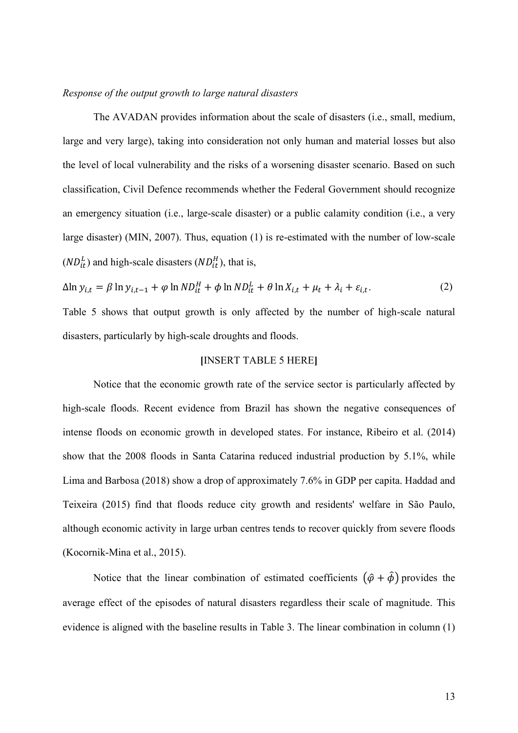#### *Response of the output growth to large natural disasters*

The AVADAN provides information about the scale of disasters (i.e., small, medium, large and very large), taking into consideration not only human and material losses but also the level of local vulnerability and the risks of a worsening disaster scenario. Based on such classification, Civil Defence recommends whether the Federal Government should recognize an emergency situation (i.e., large-scale disaster) or a public calamity condition (i.e., a very large disaster) (MIN, 2007). Thus, equation (1) is re-estimated with the number of low-scale  $(ND_{it}^{L})$  and high-scale disasters  $(ND_{it}^{H})$ , that is,

$$
\Delta \ln y_{i,t} = \beta \ln y_{i,t-1} + \varphi \ln ND_{it}^H + \varphi \ln ND_{it}^L + \theta \ln X_{i,t} + \mu_t + \lambda_i + \varepsilon_{i,t}.
$$
 (2)

Table 5 shows that output growth is only affected by the number of high-scale natural disasters, particularly by high-scale droughts and floods.

# **[**INSERT TABLE 5 HERE**]**

Notice that the economic growth rate of the service sector is particularly affected by high-scale floods. Recent evidence from Brazil has shown the negative consequences of intense floods on economic growth in developed states. For instance, Ribeiro et al. (2014) show that the 2008 floods in Santa Catarina reduced industrial production by 5.1%, while Lima and Barbosa (2018) show a drop of approximately 7.6% in GDP per capita. Haddad and Teixeira (2015) find that floods reduce city growth and residents' welfare in São Paulo, although economic activity in large urban centres tends to recover quickly from severe floods (Kocornik-Mina et al., 2015).

Notice that the linear combination of estimated coefficients  $(\hat{\varphi} + \hat{\varphi})$  provides the average effect of the episodes of natural disasters regardless their scale of magnitude. This evidence is aligned with the baseline results in Table 3. The linear combination in column (1)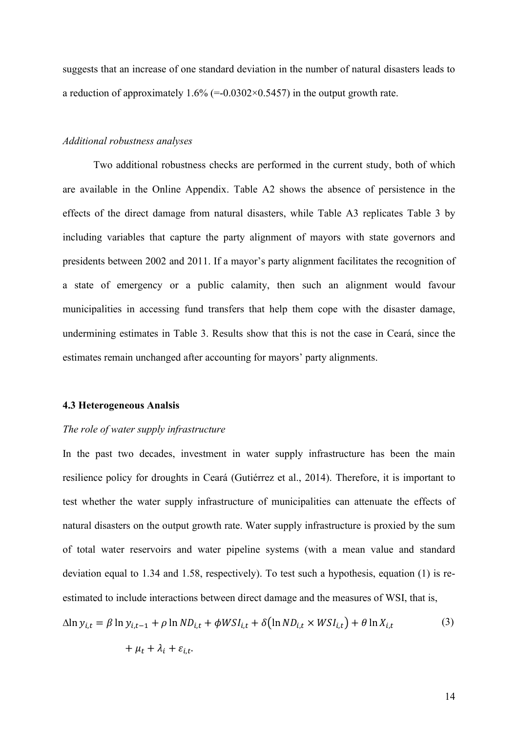suggests that an increase of one standard deviation in the number of natural disasters leads to a reduction of approximately  $1.6\%$  (=-0.0302×0.5457) in the output growth rate.

#### *Additional robustness analyses*

Two additional robustness checks are performed in the current study, both of which are available in the Online Appendix. Table A2 shows the absence of persistence in the effects of the direct damage from natural disasters, while Table A3 replicates Table 3 by including variables that capture the party alignment of mayors with state governors and presidents between 2002 and 2011. If a mayor's party alignment facilitates the recognition of a state of emergency or a public calamity, then such an alignment would favour municipalities in accessing fund transfers that help them cope with the disaster damage, undermining estimates in Table 3. Results show that this is not the case in Ceará, since the estimates remain unchanged after accounting for mayors' party alignments.

#### **4.3 Heterogeneous Analsis**

#### *The role of water supply infrastructure*

In the past two decades, investment in water supply infrastructure has been the main resilience policy for droughts in Ceará (Gutiérrez et al., 2014). Therefore, it is important to test whether the water supply infrastructure of municipalities can attenuate the effects of natural disasters on the output growth rate. Water supply infrastructure is proxied by the sum of total water reservoirs and water pipeline systems (with a mean value and standard deviation equal to 1.34 and 1.58, respectively). To test such a hypothesis, equation (1) is reestimated to include interactions between direct damage and the measures of WSI, that is,

$$
\Delta \ln y_{i,t} = \beta \ln y_{i,t-1} + \rho \ln ND_{i,t} + \phi WSI_{i,t} + \delta (\ln ND_{i,t} \times WSI_{i,t}) + \theta \ln X_{i,t}
$$
 (3)

$$
+ \mu_t + \lambda_i + \varepsilon_{i,t}.
$$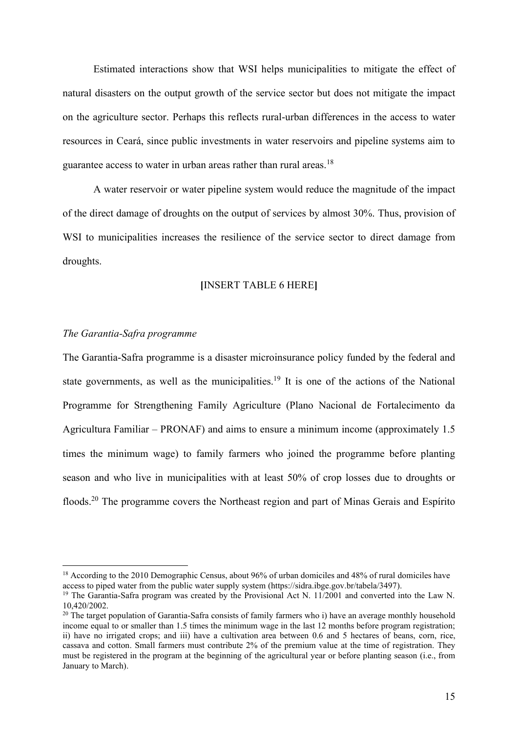Estimated interactions show that WSI helps municipalities to mitigate the effect of natural disasters on the output growth of the service sector but does not mitigate the impact on the agriculture sector. Perhaps this reflects rural-urban differences in the access to water resources in Ceará, since public investments in water reservoirs and pipeline systems aim to guarantee access to water in urban areas rather than rural areas.<sup>18</sup>

A water reservoir or water pipeline system would reduce the magnitude of the impact of the direct damage of droughts on the output of services by almost 30%. Thus, provision of WSI to municipalities increases the resilience of the service sector to direct damage from droughts.

#### **[**INSERT TABLE 6 HERE**]**

#### *The Garantia-Safra programme*

The Garantia-Safra programme is a disaster microinsurance policy funded by the federal and state governments, as well as the municipalities.<sup>19</sup> It is one of the actions of the National Programme for Strengthening Family Agriculture (Plano Nacional de Fortalecimento da Agricultura Familiar  $-$  PRONAF) and aims to ensure a minimum income (approximately 1.5 times the minimum wage) to family farmers who joined the programme before planting season and who live in municipalities with at least 50% of crop losses due to droughts or floods.<sup>20</sup> The programme covers the Northeast region and part of Minas Gerais and Espírito

<sup>&</sup>lt;sup>18</sup> According to the 2010 Demographic Census, about 96% of urban domiciles and 48% of rural domiciles have access to piped water from the public water supply system (https://sidra.ibge.gov.br/tabela/3497).

<sup>&</sup>lt;sup>19</sup> The Garantia-Safra program was created by the Provisional Act N. 11/2001 and converted into the Law N. 10,420/2002.

<sup>&</sup>lt;sup>20</sup> The target population of Garantia-Safra consists of family farmers who i) have an average monthly household income equal to or smaller than 1.5 times the minimum wage in the last 12 months before program registration; ii) have no irrigated crops; and iii) have a cultivation area between 0.6 and 5 hectares of beans, corn, rice, cassava and cotton. Small farmers must contribute 2% of the premium value at the time of registration. They must be registered in the program at the beginning of the agricultural year or before planting season (i.e., from January to March).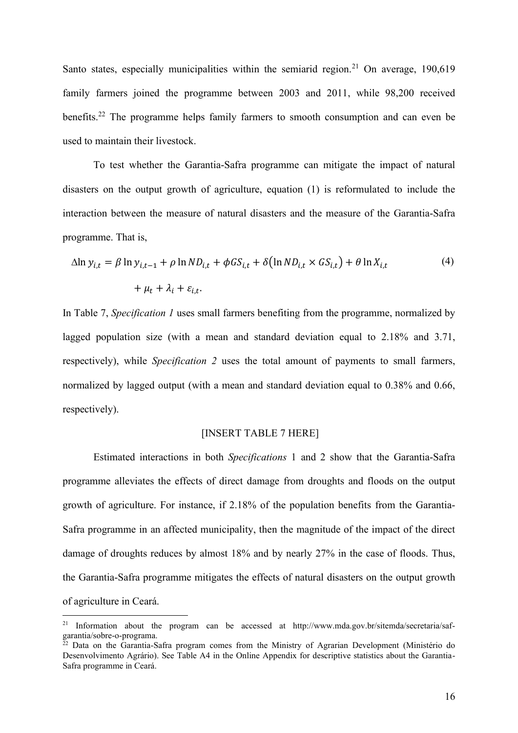Santo states, especially municipalities within the semiarid region.<sup>21</sup> On average, 190,619 family farmers joined the programme between 2003 and 2011, while 98,200 received benefits.<sup>22</sup> The programme helps family farmers to smooth consumption and can even be used to maintain their livestock.

To test whether the Garantia-Safra programme can mitigate the impact of natural disasters on the output growth of agriculture, equation (1) is reformulated to include the interaction between the measure of natural disasters and the measure of the Garantia-Safra programme. That is,

$$
\Delta \ln y_{i,t} = \beta \ln y_{i,t-1} + \rho \ln ND_{i,t} + \phi G S_{i,t} + \delta (\ln ND_{i,t} \times G S_{i,t}) + \theta \ln X_{i,t}
$$
  
+  $\mu_t + \lambda_i + \varepsilon_{i,t}$ . (4)

In Table 7, *Specification 1* uses small farmers benefiting from the programme, normalized by lagged population size (with a mean and standard deviation equal to 2.18% and 3.71, respectively), while *Specification 2* uses the total amount of payments to small farmers, normalized by lagged output (with a mean and standard deviation equal to 0.38% and 0.66, respectively).

# [INSERT TABLE 7 HERE]

Estimated interactions in both *Specifications* 1 and 2 show that the Garantia-Safra programme alleviates the effects of direct damage from droughts and floods on the output growth of agriculture. For instance, if 2.18% of the population benefits from the Garantia-Safra programme in an affected municipality, then the magnitude of the impact of the direct damage of droughts reduces by almost 18% and by nearly 27% in the case of floods. Thus, the Garantia-Safra programme mitigates the effects of natural disasters on the output growth of agriculture in Ceará.

<sup>&</sup>lt;sup>21</sup> Information about the program can be accessed at http://www.mda.gov.br/sitemda/secretaria/safgarantia/sobre-o-programa.

<sup>&</sup>lt;sup>22</sup> Data on the Garantia-Safra program comes from the Ministry of Agrarian Development (Ministério do Desenvolvimento Agrário). See Table A4 in the Online Appendix for descriptive statistics about the Garantia-Safra programme in Ceará.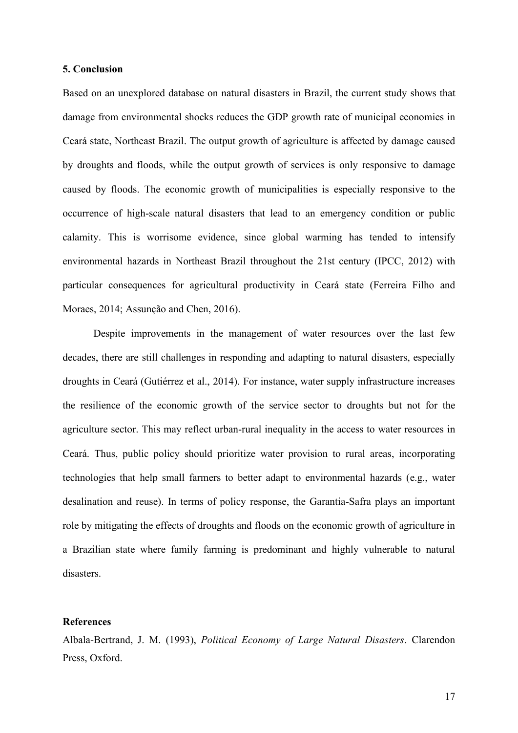#### **5. Conclusion**

Based on an unexplored database on natural disasters in Brazil, the current study shows that damage from environmental shocks reduces the GDP growth rate of municipal economies in Ceará state, Northeast Brazil. The output growth of agriculture is affected by damage caused by droughts and floods, while the output growth of services is only responsive to damage caused by floods. The economic growth of municipalities is especially responsive to the occurrence of high-scale natural disasters that lead to an emergency condition or public calamity. This is worrisome evidence, since global warming has tended to intensify environmental hazards in Northeast Brazil throughout the 21st century (IPCC, 2012) with particular consequences for agricultural productivity in Ceará state (Ferreira Filho and Moraes, 2014; Assunção and Chen, 2016).

Despite improvements in the management of water resources over the last few decades, there are still challenges in responding and adapting to natural disasters, especially droughts in Ceará (Gutiérrez et al., 2014). For instance, water supply infrastructure increases the resilience of the economic growth of the service sector to droughts but not for the agriculture sector. This may reflect urban-rural inequality in the access to water resources in Ceará. Thus, public policy should prioritize water provision to rural areas, incorporating technologies that help small farmers to better adapt to environmental hazards (e.g., water desalination and reuse). In terms of policy response, the Garantia-Safra plays an important role by mitigating the effects of droughts and floods on the economic growth of agriculture in a Brazilian state where family farming is predominant and highly vulnerable to natural disasters.

#### **References**

Albala-Bertrand, J. M. (1993), *Political Economy of Large Natural Disasters*. Clarendon Press, Oxford.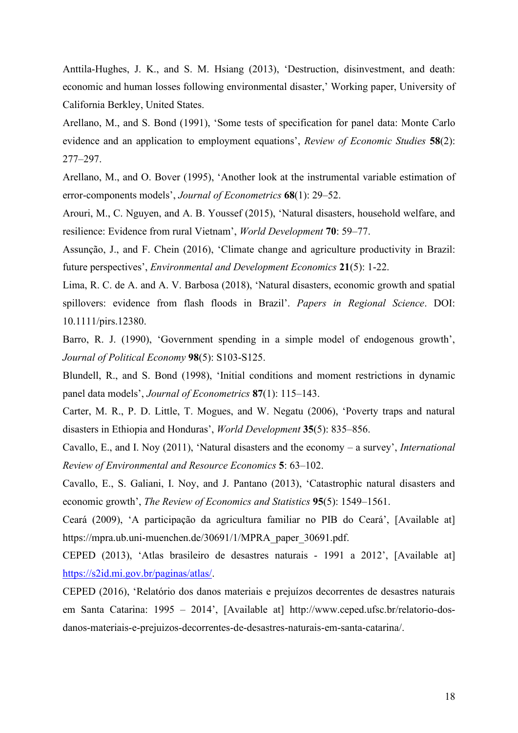Anttila-Hughes, J. K., and S. M. Hsiang (2013), 'Destruction, disinvestment, and death: economic and human losses following environmental disaster,' Working paper, University of California Berkley, United States.

Arellano, M., and S. Bond (1991), 'Some tests of specification for panel data: Monte Carlo evidence and an application to employment equations', *Review of Economic Studies* **58**(2): 277±297.

Arellano, M., and O. Bover (1995), 'Another look at the instrumental variable estimation of error-components models', Journal of Econometrics **68**(1): 29–52.

Arouri, M., C. Nguyen, and A. B. Youssef (2015), 'Natural disasters, household welfare, and resilience: Evidence from rural Vietnam', *World Development* **70**: 59–77.

Assunção, J., and F. Chein (2016), 'Climate change and agriculture productivity in Brazil: future perspectives', *Environmental and Development Economics* 21(5): 1-22.

Lima, R. C. de A. and A. V. Barbosa (2018), 'Natural disasters, economic growth and spatial spillovers: evidence from flash floods in Brazil'. Papers in Regional Science. DOI: 10.1111/pirs.12380.

Barro, R. J. (1990), 'Government spending in a simple model of endogenous growth', *Journal of Political Economy* **98**(5): S103-S125.

Blundell, R., and S. Bond (1998), 'Initial conditions and moment restrictions in dynamic panel data models', *Journal of Econometrics* **87**(1): 115–143.

Carter, M. R., P. D. Little, T. Mogues, and W. Negatu (2006), 'Poverty traps and natural disasters in Ethiopia and Honduras', *World Development* **35**(5): 835–856.

Cavallo, E., and I. Noy (2011), 'Natural disasters and the economy – a survey', *International Review of Environmental and Resource Economics* 5: 63–102.

Cavallo, E., S. Galiani, I. Noy, and J. Pantano (2013), 'Catastrophic natural disasters and economic growth', The Review of Economics and Statistics 95(5): 1549-1561.

Ceará (2009), 'A participação da agricultura familiar no PIB do Ceará', [Available at] https://mpra.ub.uni-muenchen.de/30691/1/MPRA\_paper\_30691.pdf.

CEPED (2013), 'Atlas brasileiro de desastres naturais - 1991 a 2012', [Available at] [https://s2id.mi.gov.br/paginas/atlas/.](https://s2id.mi.gov.br/paginas/atlas/)

CEPED (2016), 'Relatório dos danos materiais e prejuízos decorrentes de desastres naturais em Santa Catarina: 1995 – 2014', [Available at] http://www.ceped.ufsc.br/relatorio-dosdanos-materiais-e-prejuizos-decorrentes-de-desastres-naturais-em-santa-catarina/.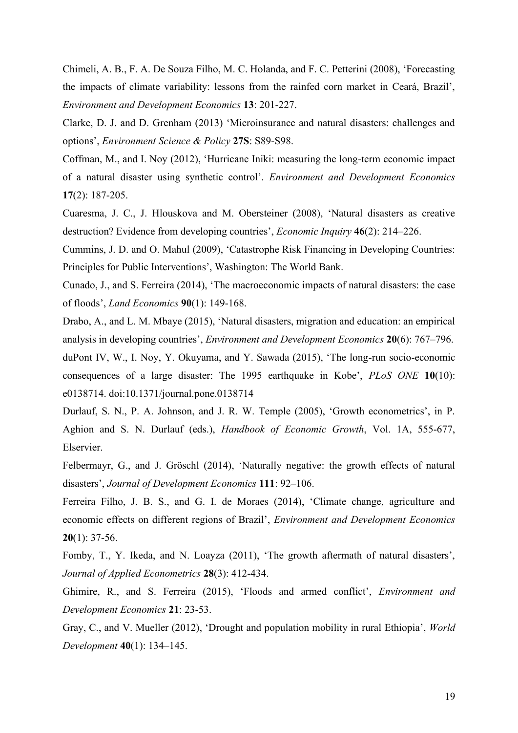Chimeli, A. B., F. A. De Souza Filho, M. C. Holanda, and F. C. Petterini (2008), 'Forecasting the impacts of climate variability: lessons from the rainfed corn market in Ceará, Brazil', *Environment and Development Economics* **13**: 201-227.

Clarke, D. J. and D. Grenham (2013) 'Microinsurance and natural disasters: challenges and options', *Environment Science & Policy* 27S: S89-S98.

Coffman, M., and I. Noy (2012), 'Hurricane Iniki: measuring the long-term economic impact of a natural disaster using synthetic control'. *Environment and Development Economics* **17**(2): 187-205.

Cuaresma, J. C., J. Hlouskova and M. Obersteiner (2008), 'Natural disasters as creative destruction? Evidence from developing countries', *Economic Inquiry* 46(2): 214–226.

Cummins, J. D. and O. Mahul (2009), 'Catastrophe Risk Financing in Developing Countries: Principles for Public Interventions', Washington: The World Bank.

Cunado, J., and S. Ferreira (2014), 'The macroeconomic impacts of natural disasters: the case of floods', *Land Economics* **90**(1): 149-168.

Drabo, A., and L. M. Mbaye (2015), 'Natural disasters, migration and education: an empirical analysis in developing countries', *Environment and Development Economics* **20**(6): 767–796.

duPont IV, W., I. Nov, Y. Okuyama, and Y. Sawada  $(2015)$ , 'The long-run socio-economic consequences of a large disaster: The 1995 earthquake in Kobe', PLoS ONE 10(10): e0138714. doi:10.1371/journal.pone.0138714

Durlauf, S. N., P. A. Johnson, and J. R. W. Temple (2005), 'Growth econometrics', in P. Aghion and S. N. Durlauf (eds.), *Handbook of Economic Growth*, Vol. 1A, 555-677, Elservier.

Felbermayr, G., and J. Gröschl  $(2014)$ , 'Naturally negative: the growth effects of natural disasters', Journal of Development Economics 111: 92-106.

Ferreira Filho, J. B. S., and G. I. de Moraes (2014), 'Climate change, agriculture and economic effects on different regions of Brazil', *Environment and Development Economics* **20**(1): 37-56.

Fomby, T., Y. Ikeda, and N. Loayza (2011), 'The growth aftermath of natural disasters', *Journal of Applied Econometrics* **28**(3): 412-434.

Ghimire, R., and S. Ferreira (2015), 'Floods and armed conflict', *Environment and Development Economics* **21**: 23-53.

Gray, C., and V. Mueller (2012), 'Drought and population mobility in rural Ethiopia', *World Development* **40**(1): 134-145.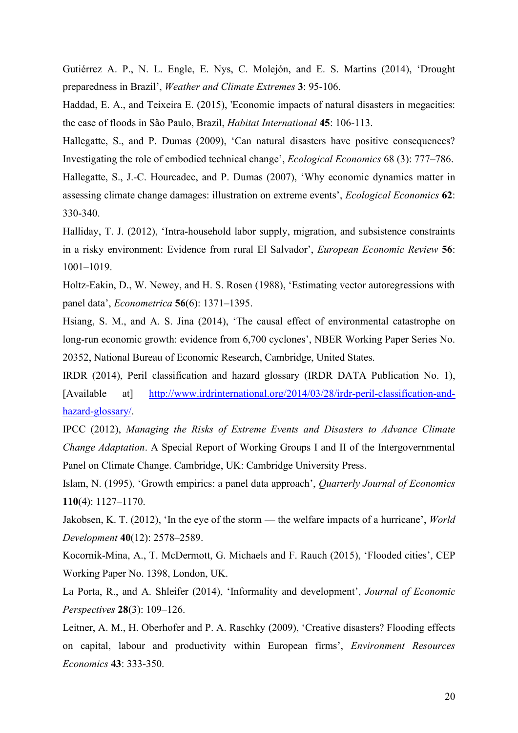Gutiérrez A. P., N. L. Engle, E. Nys, C. Molejón, and E. S. Martins (2014), 'Drought preparedness in Brazil', Weather and Climate Extremes 3: 95-106.

Haddad, E. A., and Teixeira E. (2015), 'Economic impacts of natural disasters in megacities: the case of floods in São Paulo, Brazil, *Habitat International* **45**: 106-113.

Hallegatte, S., and P. Dumas (2009), 'Can natural disasters have positive consequences? Investigating the role of embodied technical change', *Ecological Economics* 68 (3): 777–786.

Hallegatte, S., J.-C. Hourcadec, and P. Dumas (2007), 'Why economic dynamics matter in assessing climate change damages: illustration on extreme events', *Ecological Economics* 62: 330-340.

Halliday, T. J. (2012), 'Intra-household labor supply, migration, and subsistence constraints in a risky environment: Evidence from rural El Salvador', *European Economic Review* 56: 1001±1019.

Holtz-Eakin, D., W. Newey, and H. S. Rosen (1988), 'Estimating vector autoregressions with panel data', *Econometrica* **56**(6): 1371–1395.

Hsiang, S. M., and A. S. Jina (2014), 'The causal effect of environmental catastrophe on long-run economic growth: evidence from 6,700 cyclones', NBER Working Paper Series No. 20352, National Bureau of Economic Research, Cambridge, United States.

IRDR (2014), Peril classification and hazard glossary (IRDR DATA Publication No. 1), [Available at] [http://www.irdrinternational.org/2014/03/28/irdr-peril-classification-and](http://www.irdrinternational.org/2014/03/28/irdr-peril-classification-and-hazard-glossary/)[hazard-glossary/.](http://www.irdrinternational.org/2014/03/28/irdr-peril-classification-and-hazard-glossary/)

IPCC (2012), *Managing the Risks of Extreme Events and Disasters to Advance Climate Change Adaptation*. A Special Report of Working Groups I and II of the Intergovernmental Panel on Climate Change. Cambridge, UK: Cambridge University Press.

Islam, N. (1995), 'Growth empirics: a panel data approach', *Quarterly Journal of Economics* **110**(4): 1127-1170.

Jakobsen, K. T. (2012), 'In the eye of the storm — the welfare impacts of a hurricane', *World Development* **40**(12): 2578-2589.

Kocornik-Mina, A., T. McDermott, G. Michaels and F. Rauch (2015), 'Flooded cities', CEP Working Paper No. 1398, London, UK.

La Porta, R., and A. Shleifer (2014), 'Informality and development', *Journal of Economic Perspectives* **28**(3): 109-126.

Leitner, A. M., H. Oberhofer and P. A. Raschky (2009), 'Creative disasters? Flooding effects on capital, labour and productivity within European firms', *Environment Resources Economics* **43**: 333-350.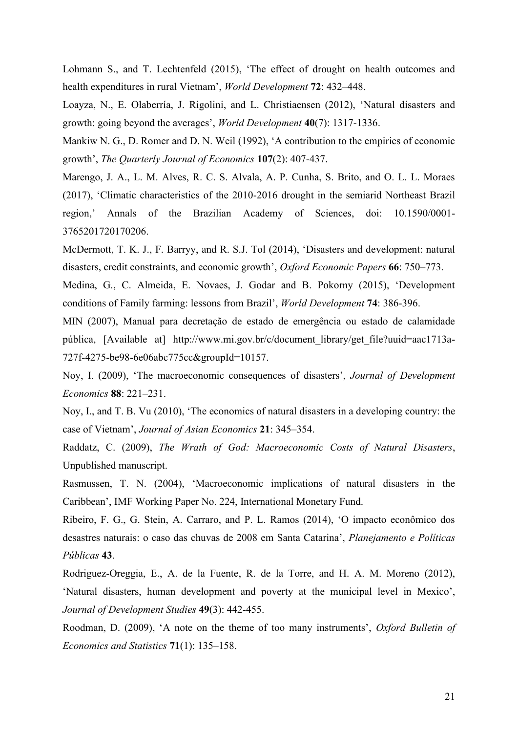Lohmann S., and T. Lechtenfeld (2015), 'The effect of drought on health outcomes and health expenditures in rural Vietnam', *World Development* **72**: 432–448.

Loayza, N., E. Olaberría, J. Rigolini, and L. Christiaensen (2012), 'Natural disasters and growth: going beyond the averages', *World Development* 40(7): 1317-1336.

Mankiw N. G., D. Romer and D. N. Weil (1992), 'A contribution to the empirics of economic growth', *The Quarterly Journal of Economics* 107(2): 407-437.

Marengo, J. A., L. M. Alves, R. C. S. Alvala, A. P. Cunha, S. Brito, and O. L. L. Moraes (2017), 'Climatic characteristics of the 2010-2016 drought in the semiarid Northeast Brazil region,' Annals of the Brazilian Academy of Sciences, doi: 10.1590/0001-3765201720170206.

McDermott, T. K. J., F. Barryy, and R. S.J. Tol (2014), 'Disasters and development: natural disasters, credit constraints, and economic growth', Oxford Economic Papers 66: 750-773.

Medina, G., C. Almeida, E. Novaes, J. Godar and B. Pokorny (2015), 'Development conditions of Family farming: lessons from Brazil', *World Development* **74**: 386-396.

MIN (2007), Manual para decretação de estado de emergência ou estado de calamidade pública, [Available at] http://www.mi.gov.br/c/document\_library/get\_file?uuid=aac1713a-727f-4275-be98-6e06abc775cc&groupId=10157.

Noy, I. (2009), 'The macroeconomic consequences of disasters', *Journal of Development Economics* **88**: 221–231.

Noy, I., and T. B. Vu (2010), 'The economics of natural disasters in a developing country: the rease of Vietnam', Journal of Asian Economics 21: 345-354.

Raddatz, C. (2009), *The Wrath of God: Macroeconomic Costs of Natural Disasters*, Unpublished manuscript.

Rasmussen, T. N. (2004), 'Macroeconomic implications of natural disasters in the Caribbean', IMF Working Paper No. 224, International Monetary Fund.

Ribeiro, F. G., G. Stein, A. Carraro, and P. L. Ramos (2014), 'O impacto econômico dos desastres naturais: o caso das chuvas de 2008 em Santa Catarina', *Planejamento e Políticas Públicas* **43**.

Rodriguez-Oreggia, E., A. de la Fuente, R. de la Torre, and H. A. M. Moreno (2012), 'Natural disasters, human development and poverty at the municipal level in Mexico', *Journal of Development Studies* **49**(3): 442-455.

Roodman, D. (2009), 'A note on the theme of too many instruments', *Oxford Bulletin of Economics and Statistics* **71**(1): 135–158.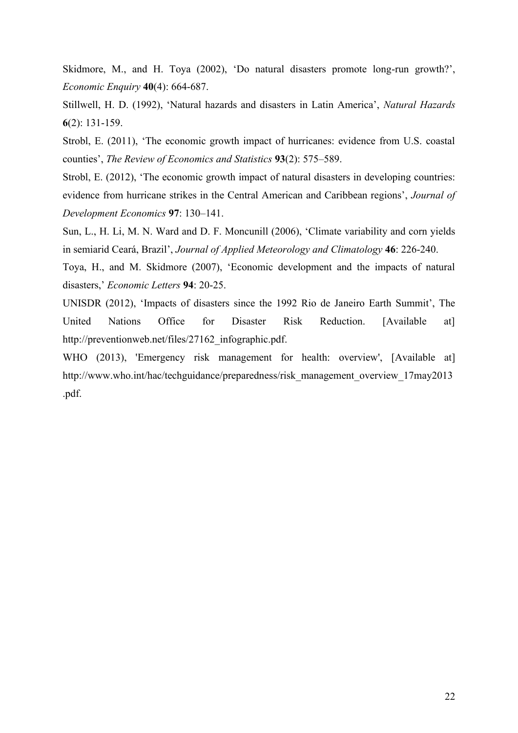Skidmore, M., and H. Toya (2002), 'Do natural disasters promote long-run growth?', *Economic Enquiry* **40**(4): 664-687.

6Hillwell, H. D. (1992), 'Natural hazards and disasters in Latin America', Natural Hazards **6**(2): 131-159.

Strobl, E. (2011), 'The economic growth impact of hurricanes: evidence from U.S. coastal counties', The Review of Economics and Statistics 93(2): 575–589.

Strobl, E. (2012), 'The economic growth impact of natural disasters in developing countries: evidence from hurricane strikes in the Central American and Caribbean regions', *Journal of Development Economics* 97: 130-141.

Sun, L., H. Li, M. N. Ward and D. F. Moncunill (2006), 'Climate variability and corn yields in semiarid Ceará, Brazil', Journal of Applied Meteorology and Climatology 46: 226-240.

Toya, H., and M. Skidmore (2007), 'Economic development and the impacts of natural disasters,' *Economic Letters* 94: 20-25.

UNISDR (2012), 'Impacts of disasters since the 1992 Rio de Janeiro Earth Summit', The United Nations Office for Disaster Risk Reduction. [Available at] http://preventionweb.net/files/27162\_infographic.pdf.

WHO (2013), 'Emergency risk management for health: overview', [Available at] http://www.who.int/hac/techguidance/preparedness/risk\_management\_overview\_17may2013 .pdf.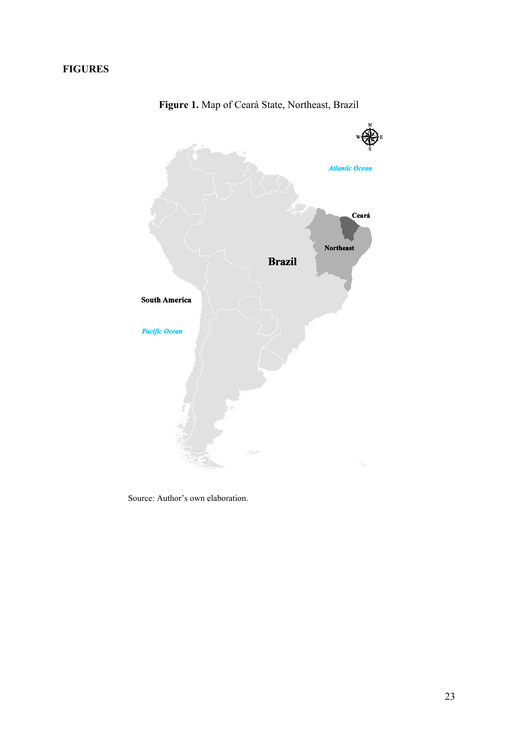# **FIGURES**



**Figure 1.** Map of Ceará State, Northeast, Brazil

Source: Author's own elaboration.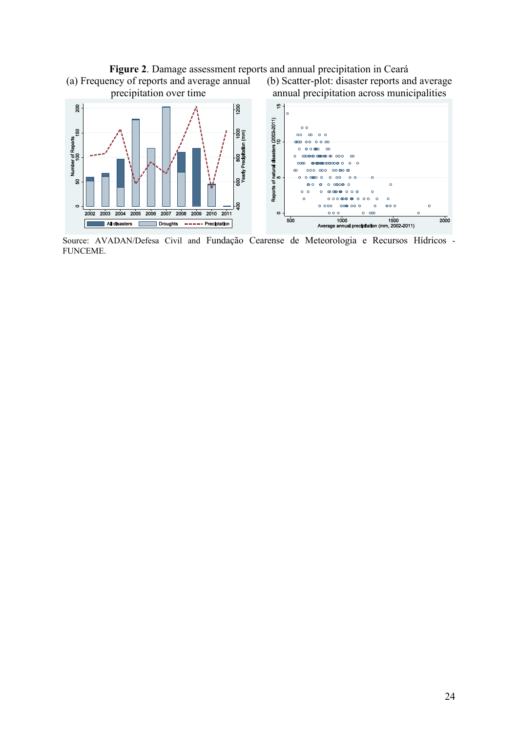# **Figure 2**. Damage assessment reports and annual precipitation in Ceará (a) Frequency of reports and average annual



Source: AVADAN/Defesa Civil and Fundação Cearense de Meteorologia e Recursos Hídricos - FUNCEME.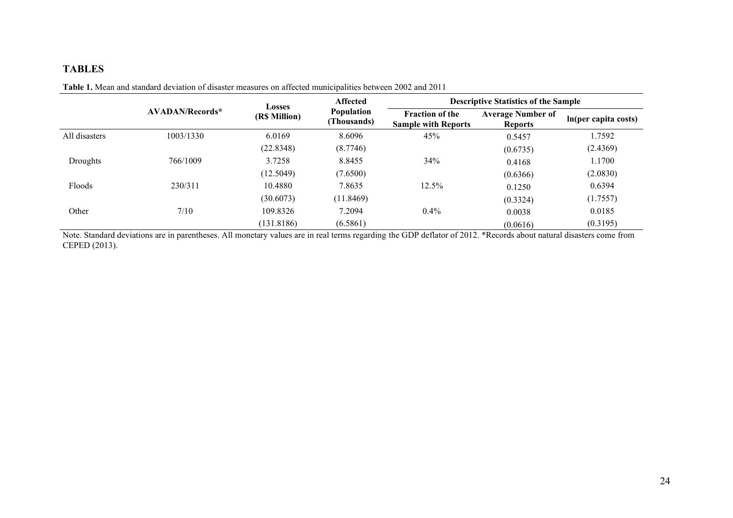# **TABLES**

|               |                        | <b>Losses</b> | <b>Affected</b>                  | <b>Descriptive Statistics of the Sample</b>          |                                            |                      |  |
|---------------|------------------------|---------------|----------------------------------|------------------------------------------------------|--------------------------------------------|----------------------|--|
|               | <b>AVADAN/Records*</b> | (R\$ Million) | <b>Population</b><br>(Thousands) | <b>Fraction of the</b><br><b>Sample with Reports</b> | <b>Average Number of</b><br><b>Reports</b> | In(per capita costs) |  |
| All disasters | 1003/1330              | 6.0169        | 8.6096                           | 45%                                                  | 0.5457                                     | 1.7592               |  |
|               |                        | (22.8348)     | (8.7746)                         |                                                      | (0.6735)                                   | (2.4369)             |  |
| Droughts      | 766/1009               | 3.7258        | 8.8455                           | 34%                                                  | 0.4168                                     | 1.1700               |  |
|               |                        | (12.5049)     | (7.6500)                         |                                                      | (0.6366)                                   | (2.0830)             |  |
| Floods        | 230/311                | 10.4880       | 7.8635                           | 12.5%                                                | 0.1250                                     | 0.6394               |  |
|               |                        | (30.6073)     | (11.8469)                        |                                                      | (0.3324)                                   | (1.7557)             |  |
| Other         | 7/10                   | 109.8326      | 7.2094                           | $0.4\%$                                              | 0.0038                                     | 0.0185               |  |
|               |                        | (131.8186)    | (6.5861)                         |                                                      | (0.0616)                                   | (0.3195)             |  |

**Table 1.** Mean and standard deviation of disaster measures on affected municipalities between 2002 and 2011

Note. Standard deviations are in parentheses. All monetary values are in real terms regarding the GDP deflator of 2012. \*Records about natural disasters come from CEPED (2013).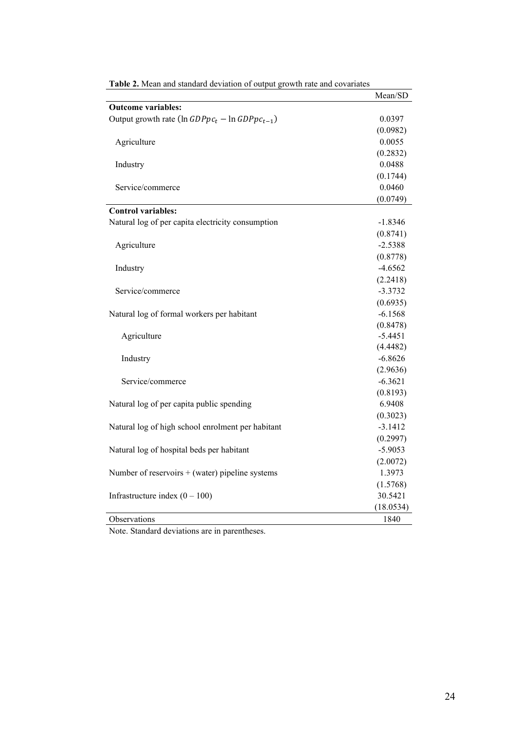|                                                        | Mean/SD   |
|--------------------------------------------------------|-----------|
| <b>Outcome variables:</b>                              |           |
| Output growth rate ( $\ln GDPpc_t - \ln GDPpc_{t-1}$ ) | 0.0397    |
|                                                        | (0.0982)  |
| Agriculture                                            | 0.0055    |
|                                                        | (0.2832)  |
| Industry                                               | 0.0488    |
|                                                        | (0.1744)  |
| Service/commerce                                       | 0.0460    |
|                                                        | (0.0749)  |
| <b>Control variables:</b>                              |           |
| Natural log of per capita electricity consumption      | $-1.8346$ |
|                                                        | (0.8741)  |
| Agriculture                                            | $-2.5388$ |
|                                                        | (0.8778)  |
| Industry                                               | $-4.6562$ |
|                                                        | (2.2418)  |
| Service/commerce                                       | $-3.3732$ |
|                                                        | (0.6935)  |
| Natural log of formal workers per habitant             | $-6.1568$ |
|                                                        | (0.8478)  |
| Agriculture                                            | $-5.4451$ |
|                                                        | (4.4482)  |
| Industry                                               | $-6.8626$ |
|                                                        | (2.9636)  |
| Service/commerce                                       | $-6.3621$ |
|                                                        | (0.8193)  |
| Natural log of per capita public spending              | 6.9408    |
|                                                        | (0.3023)  |
| Natural log of high school enrolment per habitant      | $-3.1412$ |
|                                                        | (0.2997)  |
| Natural log of hospital beds per habitant              | $-5.9053$ |
|                                                        | (2.0072)  |
| Number of reservoirs $+$ (water) pipeline systems      | 1.3973    |
|                                                        | (1.5768)  |
| Infrastructure index $(0 - 100)$                       | 30.5421   |
|                                                        | (18.0534) |
| Observations                                           | 1840      |

|  |  | Table 2. Mean and standard deviation of output growth rate and covariates |  |
|--|--|---------------------------------------------------------------------------|--|
|  |  |                                                                           |  |

Note. Standard deviations are in parentheses.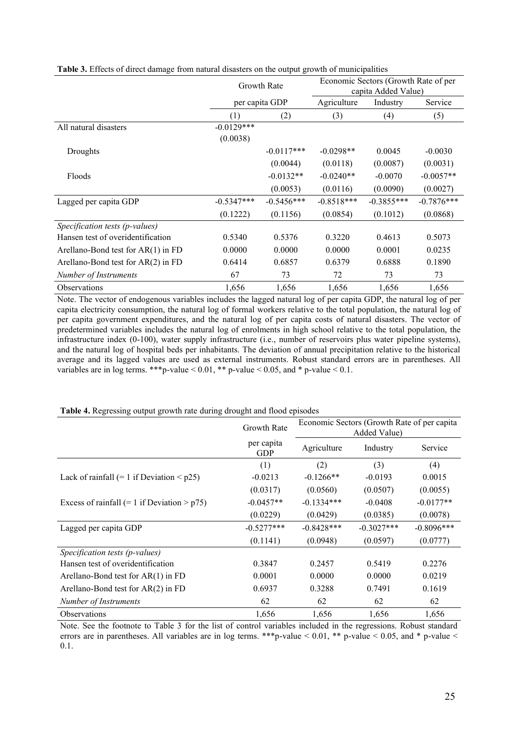| ັ                                    |                          |                |                                                             |              |              |  |
|--------------------------------------|--------------------------|----------------|-------------------------------------------------------------|--------------|--------------|--|
|                                      | Growth Rate              |                | Economic Sectors (Growth Rate of per<br>capita Added Value) |              |              |  |
|                                      |                          | per capita GDP | Agriculture                                                 | Industry     | Service      |  |
|                                      | (1)                      | (2)            | (3)                                                         | (4)          | (5)          |  |
| All natural disasters                | $-0.0129***$<br>(0.0038) |                |                                                             |              |              |  |
| Droughts                             |                          | $-0.0117***$   | $-0.0298**$                                                 | 0.0045       | $-0.0030$    |  |
|                                      |                          | (0.0044)       | (0.0118)                                                    | (0.0087)     | (0.0031)     |  |
| Floods                               |                          | $-0.0132**$    | $-0.0240**$                                                 | $-0.0070$    | $-0.0057**$  |  |
|                                      |                          | (0.0053)       | (0.0116)                                                    | (0.0090)     | (0.0027)     |  |
| Lagged per capita GDP                | $-0.5347***$             | $-0.5456***$   | $-0.8518***$                                                | $-0.3855***$ | $-0.7876***$ |  |
|                                      | (0.1222)                 | (0.1156)       | (0.0854)                                                    | (0.1012)     | (0.0868)     |  |
| Specification tests (p-values)       |                          |                |                                                             |              |              |  |
| Hansen test of overidentification    | 0.5340                   | 0.5376         | 0.3220                                                      | 0.4613       | 0.5073       |  |
| Arellano-Bond test for $AR(1)$ in FD | 0.0000                   | 0.0000         | 0.0000                                                      | 0.0001       | 0.0235       |  |
| Arellano-Bond test for $AR(2)$ in FD | 0.6414                   | 0.6857         | 0.6379                                                      | 0.6888       | 0.1890       |  |
| Number of Instruments                | 67                       | 73             | 72                                                          | 73           | 73           |  |
| <b>Observations</b>                  | 1,656                    | 1,656          | 1,656                                                       | 1,656        | 1,656        |  |

| Table 3. Effects of direct damage from natural disasters on the output growth of municipalities |  |  |  |  |  |  |
|-------------------------------------------------------------------------------------------------|--|--|--|--|--|--|
|                                                                                                 |  |  |  |  |  |  |

Note. The vector of endogenous variables includes the lagged natural log of per capita GDP, the natural log of per capita electricity consumption, the natural log of formal workers relative to the total population, the natural log of per capita government expenditures, and the natural log of per capita costs of natural disasters. The vector of predetermined variables includes the natural log of enrolments in high school relative to the total population, the infrastructure index (0-100), water supply infrastructure (i.e., number of reservoirs plus water pipeline systems), and the natural log of hospital beds per inhabitants. The deviation of annual precipitation relative to the historical average and its lagged values are used as external instruments. Robust standard errors are in parentheses. All variables are in log terms. \*\*\* p-value  $< 0.01$ , \*\* p-value  $< 0.05$ , and \* p-value  $< 0.1$ .

|                                                   | <b>Growth Rate</b>       | Economic Sectors (Growth Rate of per capita<br>Added Value) |              |              |  |
|---------------------------------------------------|--------------------------|-------------------------------------------------------------|--------------|--------------|--|
|                                                   | per capita<br><b>GDP</b> | Agriculture                                                 | Industry     | Service      |  |
|                                                   | (1)                      | (2)                                                         | (3)          | (4)          |  |
| Lack of rainfall $(= 1$ if Deviation $\leq p25$ ) | $-0.0213$                | $-0.1266**$                                                 | $-0.0193$    | 0.0015       |  |
|                                                   | (0.0317)                 | (0.0560)                                                    | (0.0507)     | (0.0055)     |  |
| Excess of rainfall $(= 1$ if Deviation > $p75$ )  | $-0.0457**$              | $-0.1334***$                                                | $-0.0408$    | $-0.0177**$  |  |
|                                                   | (0.0229)                 | (0.0429)                                                    | (0.0385)     | (0.0078)     |  |
| Lagged per capita GDP                             | $-0.5277***$             | $-0.8428***$                                                | $-0.3027***$ | $-0.8096***$ |  |
|                                                   | (0.1141)                 | (0.0948)                                                    | (0.0597)     | (0.0777)     |  |
| Specification tests (p-values)                    |                          |                                                             |              |              |  |
| Hansen test of overidentification                 | 0.3847                   | 0.2457                                                      | 0.5419       | 0.2276       |  |
| Arellano-Bond test for $AR(1)$ in FD              | 0.0001                   | 0.0000                                                      | 0.0000       | 0.0219       |  |
| Arellano-Bond test for $AR(2)$ in FD              | 0.6937                   | 0.3288                                                      | 0.7491       | 0.1619       |  |
| Number of Instruments                             | 62                       | 62                                                          | 62           | 62           |  |
| <b>Observations</b>                               | 1,656                    | 1,656                                                       | 1,656        | 1,656        |  |

**Table 4.** Regressing output growth rate during drought and flood episodes

Note. See the footnote to Table 3 for the list of control variables included in the regressions. Robust standard errors are in parentheses. All variables are in log terms. \*\*\* p-value < 0.01, \*\* p-value < 0.05, and \* p-value < 0.1.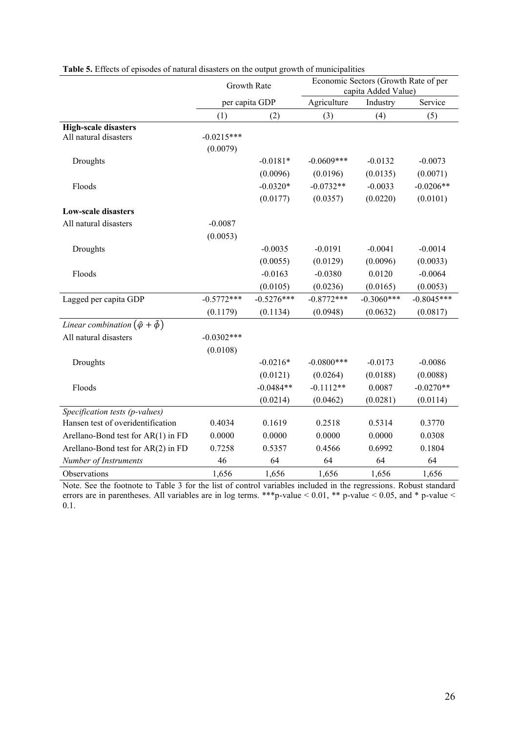|                                                      | <b>Growth Rate</b> |                | Economic Sectors (Growth Rate of per<br>capita Added Value) |              |              |  |
|------------------------------------------------------|--------------------|----------------|-------------------------------------------------------------|--------------|--------------|--|
|                                                      |                    | per capita GDP | Agriculture                                                 | Industry     | Service      |  |
|                                                      | (1)                | (2)            | (3)                                                         | (4)          | (5)          |  |
| <b>High-scale disasters</b>                          |                    |                |                                                             |              |              |  |
| All natural disasters                                | $-0.0215***$       |                |                                                             |              |              |  |
|                                                      | (0.0079)           |                |                                                             |              |              |  |
| Droughts                                             |                    | $-0.0181*$     | $-0.0609$ ***                                               | $-0.0132$    | $-0.0073$    |  |
|                                                      |                    | (0.0096)       | (0.0196)                                                    | (0.0135)     | (0.0071)     |  |
| Floods                                               |                    | $-0.0320*$     | $-0.0732**$                                                 | $-0.0033$    | $-0.0206**$  |  |
|                                                      |                    | (0.0177)       | (0.0357)                                                    | (0.0220)     | (0.0101)     |  |
| <b>Low-scale disasters</b>                           |                    |                |                                                             |              |              |  |
| All natural disasters                                | $-0.0087$          |                |                                                             |              |              |  |
|                                                      | (0.0053)           |                |                                                             |              |              |  |
| Droughts                                             |                    | $-0.0035$      | $-0.0191$                                                   | $-0.0041$    | $-0.0014$    |  |
|                                                      |                    | (0.0055)       | (0.0129)                                                    | (0.0096)     | (0.0033)     |  |
| Floods                                               |                    | $-0.0163$      | $-0.0380$                                                   | 0.0120       | $-0.0064$    |  |
|                                                      |                    | (0.0105)       | (0.0236)                                                    | (0.0165)     | (0.0053)     |  |
| Lagged per capita GDP                                | $-0.5772***$       | $-0.5276***$   | $-0.8772***$                                                | $-0.3060***$ | $-0.8045***$ |  |
|                                                      | (0.1179)           | (0.1134)       | (0.0948)                                                    | (0.0632)     | (0.0817)     |  |
| Linear combination $(\hat{\varphi} + \hat{\varphi})$ |                    |                |                                                             |              |              |  |
| All natural disasters                                | $-0.0302***$       |                |                                                             |              |              |  |
|                                                      | (0.0108)           |                |                                                             |              |              |  |
| Droughts                                             |                    | $-0.0216*$     | $-0.0800$ ***                                               | $-0.0173$    | $-0.0086$    |  |
|                                                      |                    | (0.0121)       | (0.0264)                                                    | (0.0188)     | (0.0088)     |  |
| Floods                                               |                    | $-0.0484**$    | $-0.1112**$                                                 | 0.0087       | $-0.0270**$  |  |
|                                                      |                    | (0.0214)       | (0.0462)                                                    | (0.0281)     | (0.0114)     |  |
| Specification tests (p-values)                       |                    |                |                                                             |              |              |  |
| Hansen test of overidentification                    | 0.4034             | 0.1619         | 0.2518                                                      | 0.5314       | 0.3770       |  |
| Arellano-Bond test for AR(1) in FD                   | 0.0000             | 0.0000         | 0.0000                                                      | 0.0000       | 0.0308       |  |
| Arellano-Bond test for AR(2) in FD                   | 0.7258             | 0.5357         | 0.4566                                                      | 0.6992       | 0.1804       |  |
| Number of Instruments                                | 46                 | 64             | 64                                                          | 64           | 64           |  |
| Observations                                         | 1,656              | 1,656          | 1,656                                                       | 1,656        | 1,656        |  |

| Table 5. Effects of episodes of natural disasters on the output growth of municipalities |  |  |  |  |
|------------------------------------------------------------------------------------------|--|--|--|--|
|                                                                                          |  |  |  |  |

Note. See the footnote to Table 3 for the list of control variables included in the regressions. Robust standard errors are in parentheses. All variables are in log terms. \*\*\*p-value < 0.01, \*\* p-value < 0.05, and \* p-value < 0.1.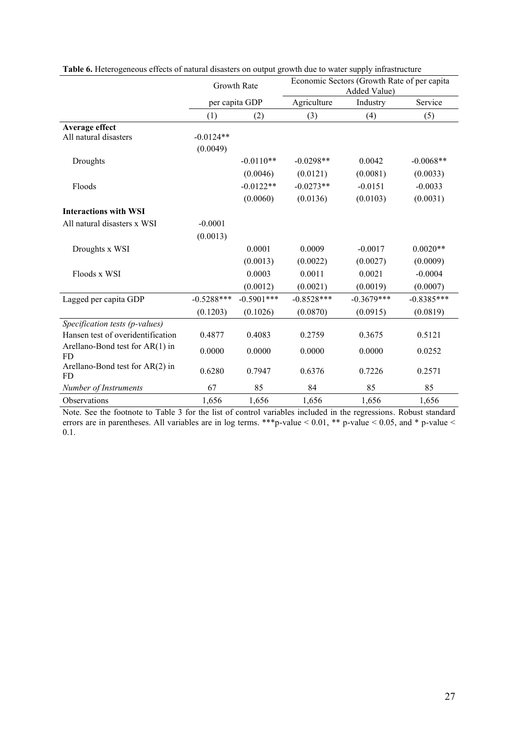|                                         | <b>Growth Rate</b> |                | Economic Sectors (Growth Rate of per capita<br>Added Value) |              |              |  |
|-----------------------------------------|--------------------|----------------|-------------------------------------------------------------|--------------|--------------|--|
|                                         |                    | per capita GDP | Agriculture                                                 | Industry     | Service      |  |
|                                         | (1)                | (2)            | (3)                                                         | (4)          | (5)          |  |
| Average effect                          |                    |                |                                                             |              |              |  |
| All natural disasters                   | $-0.0124**$        |                |                                                             |              |              |  |
|                                         | (0.0049)           |                |                                                             |              |              |  |
| Droughts                                |                    | $-0.0110**$    | $-0.0298**$                                                 | 0.0042       | $-0.0068**$  |  |
|                                         |                    | (0.0046)       | (0.0121)                                                    | (0.0081)     | (0.0033)     |  |
| Floods                                  |                    | $-0.0122**$    | $-0.0273**$                                                 | $-0.0151$    | $-0.0033$    |  |
|                                         |                    | (0.0060)       | (0.0136)                                                    | (0.0103)     | (0.0031)     |  |
| <b>Interactions with WSI</b>            |                    |                |                                                             |              |              |  |
| All natural disasters x WSI             | $-0.0001$          |                |                                                             |              |              |  |
|                                         | (0.0013)           |                |                                                             |              |              |  |
| Droughts x WSI                          |                    | 0.0001         | 0.0009                                                      | $-0.0017$    | $0.0020**$   |  |
|                                         |                    | (0.0013)       | (0.0022)                                                    | (0.0027)     | (0.0009)     |  |
| Floods x WSI                            |                    | 0.0003         | 0.0011                                                      | 0.0021       | $-0.0004$    |  |
|                                         |                    | (0.0012)       | (0.0021)                                                    | (0.0019)     | (0.0007)     |  |
| Lagged per capita GDP                   | $-0.5288***$       | $-0.5901***$   | $-0.8528***$                                                | $-0.3679***$ | $-0.8385***$ |  |
|                                         | (0.1203)           | (0.1026)       | (0.0870)                                                    | (0.0915)     | (0.0819)     |  |
| Specification tests (p-values)          |                    |                |                                                             |              |              |  |
| Hansen test of overidentification       | 0.4877             | 0.4083         | 0.2759                                                      | 0.3675       | 0.5121       |  |
| Arellano-Bond test for $AR(1)$ in<br>FD | 0.0000             | 0.0000         | 0.0000                                                      | 0.0000       | 0.0252       |  |
| Arellano-Bond test for $AR(2)$ in<br>FD | 0.6280             | 0.7947         | 0.6376                                                      | 0.7226       | 0.2571       |  |
| Number of Instruments                   | 67                 | 85             | 84                                                          | 85           | 85           |  |
| Observations                            | 1,656              | 1,656          | 1,656                                                       | 1,656        | 1,656        |  |

**Table 6.** Heterogeneous effects of natural disasters on output growth due to water supply infrastructure

Note. See the footnote to Table 3 for the list of control variables included in the regressions. Robust standard errors are in parentheses. All variables are in log terms. \*\*\*p-value < 0.01, \*\* p-value < 0.05, and \* p-value < 0.1.